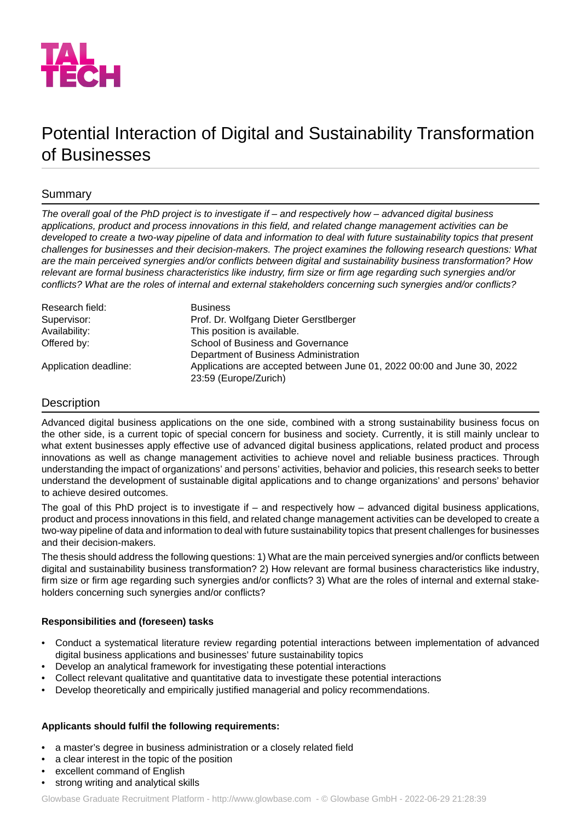

# Potential Interaction of Digital and Sustainability Transformation of Businesses

# Summary

*The overall goal of the PhD project is to investigate if – and respectively how – advanced digital business applications, product and process innovations in this field, and related change management activities can be developed to create a two-way pipeline of data and information to deal with future sustainability topics that present challenges for businesses and their decision-makers. The project examines the following research questions: What are the main perceived synergies and/or conflicts between digital and sustainability business transformation? How* relevant are formal business characteristics like industry, firm size or firm age regarding such synergies and/or *conflicts? What are the roles of internal and external stakeholders concerning such synergies and/or conflicts?*

| Research field:       | <b>Business</b>                                                         |
|-----------------------|-------------------------------------------------------------------------|
| Supervisor:           | Prof. Dr. Wolfgang Dieter Gerstlberger                                  |
| Availability:         | This position is available.                                             |
| Offered by:           | School of Business and Governance                                       |
|                       | Department of Business Administration                                   |
| Application deadline: | Applications are accepted between June 01, 2022 00:00 and June 30, 2022 |
|                       | 23:59 (Europe/Zurich)                                                   |

## Description

Advanced digital business applications on the one side, combined with a strong sustainability business focus on the other side, is a current topic of special concern for business and society. Currently, it is still mainly unclear to what extent businesses apply effective use of advanced digital business applications, related product and process innovations as well as change management activities to achieve novel and reliable business practices. Through understanding the impact of organizations' and persons' activities, behavior and policies, this research seeks to better understand the development of sustainable digital applications and to change organizations' and persons' behavior to achieve desired outcomes.

The goal of this PhD project is to investigate if – and respectively how – advanced digital business applications, product and process innovations in this field, and related change management activities can be developed to create a two-way pipeline of data and information to deal with future sustainability topics that present challenges for businesses and their decision-makers.

The thesis should address the following questions: 1) What are the main perceived synergies and/or conflicts between digital and sustainability business transformation? 2) How relevant are formal business characteristics like industry, firm size or firm age regarding such synergies and/or conflicts? 3) What are the roles of internal and external stakeholders concerning such synergies and/or conflicts?

## **Responsibilities and (foreseen) tasks**

- Conduct a systematical literature review regarding potential interactions between implementation of advanced digital business applications and businesses' future sustainability topics
- Develop an analytical framework for investigating these potential interactions
- Collect relevant qualitative and quantitative data to investigate these potential interactions
- Develop theoretically and empirically justified managerial and policy recommendations.

## **Applicants should fulfil the following requirements:**

- a master's degree in business administration or a closely related field
- a clear interest in the topic of the position
- excellent command of English
- strong writing and analytical skills

Glowbase Graduate Recruitment Platform -<http://www.glowbase.com> - © Glowbase GmbH - 2022-06-29 21:28:39